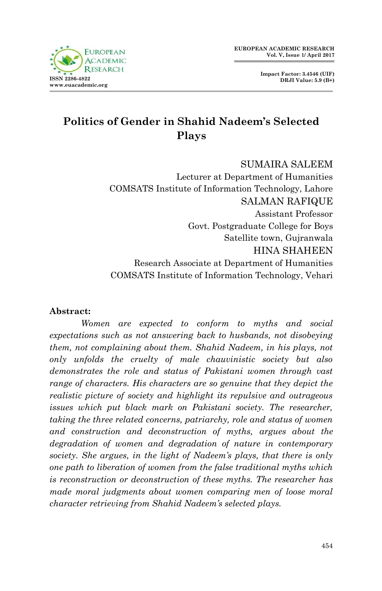

**Impact Factor: 3.4546 (UIF) DRJI Value: 5.9 (B+)**

# **Politics of Gender in Shahid Nadeem's Selected Plays**

SUMAIRA SALEEM Lecturer at Department of Humanities COMSATS Institute of Information Technology, Lahore SALMAN RAFIQUE Assistant Professor Govt. Postgraduate College for Boys Satellite town, Gujranwala HINA SHAHEEN Research Associate at Department of Humanities COMSATS Institute of Information Technology, Vehari

#### **Abstract:**

*Women are expected to conform to myths and social expectations such as not answering back to husbands, not disobeying them, not complaining about them. Shahid Nadeem, in his plays, not only unfolds the cruelty of male chauvinistic society but also demonstrates the role and status of Pakistani women through vast range of characters. His characters are so genuine that they depict the realistic picture of society and highlight its repulsive and outrageous issues which put black mark on Pakistani society. The researcher, taking the three related concerns, patriarchy, role and status of women and construction and deconstruction of myths, argues about the degradation of women and degradation of nature in contemporary society. She argues, in the light of Nadeem's plays, that there is only one path to liberation of women from the false traditional myths which is reconstruction or deconstruction of these myths. The researcher has made moral judgments about women comparing men of loose moral character retrieving from Shahid Nadeem's selected plays.*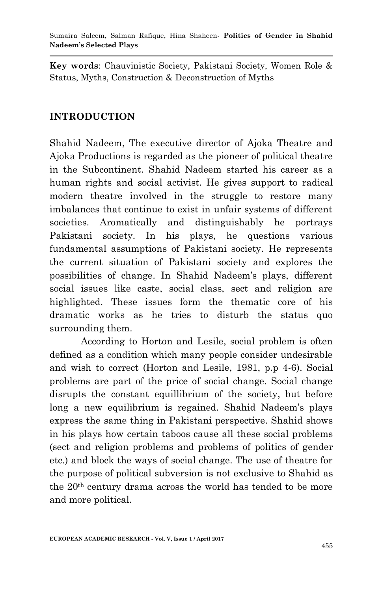**Key words**: Chauvinistic Society, Pakistani Society, Women Role & Status, Myths, Construction & Deconstruction of Myths

## **INTRODUCTION**

Shahid Nadeem, The executive director of Ajoka Theatre and Ajoka Productions is regarded as the pioneer of political theatre in the Subcontinent. Shahid Nadeem started his career as a human rights and social activist. He gives support to radical modern theatre involved in the struggle to restore many imbalances that continue to exist in unfair systems of different societies. Aromatically and distinguishably he portrays Pakistani society. In his plays, he questions various fundamental assumptions of Pakistani society. He represents the current situation of Pakistani society and explores the possibilities of change. In Shahid Nadeem"s plays, different social issues like caste, social class, sect and religion are highlighted. These issues form the thematic core of his dramatic works as he tries to disturb the status quo surrounding them.

According to Horton and Lesile, social problem is often defined as a condition which many people consider undesirable and wish to correct (Horton and Lesile, 1981, p.p 4-6). Social problems are part of the price of social change. Social change disrupts the constant equillibrium of the society, but before long a new equilibrium is regained. Shahid Nadeem's plays express the same thing in Pakistani perspective. Shahid shows in his plays how certain taboos cause all these social problems (sect and religion problems and problems of politics of gender etc.) and block the ways of social change. The use of theatre for the purpose of political subversion is not exclusive to Shahid as the 20th century drama across the world has tended to be more and more political.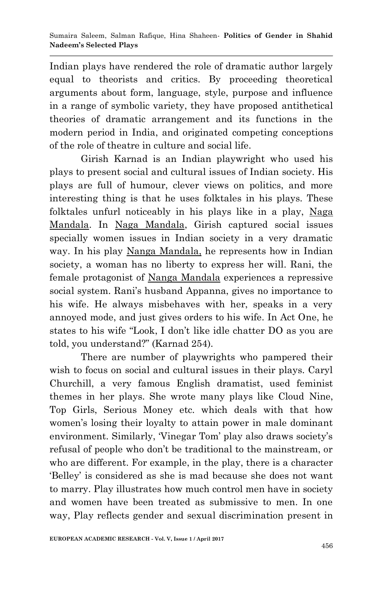Indian plays have rendered the role of dramatic author largely equal to theorists and critics. By proceeding theoretical arguments about form, language, style, purpose and influence in a range of symbolic variety, they have proposed antithetical theories of dramatic arrangement and its functions in the modern period in India, and originated competing conceptions of the role of theatre in culture and social life.

Girish Karnad is an Indian playwright who used his plays to present social and cultural issues of Indian society. His plays are full of humour, clever views on politics, and more interesting thing is that he uses folktales in his plays. These folktales unfurl noticeably in his plays like in a play, Naga Mandala. In Naga Mandala, Girish captured social issues specially women issues in Indian society in a very dramatic way. In his play Nanga Mandala, he represents how in Indian society, a woman has no liberty to express her will. Rani, the female protagonist of Nanga Mandala experiences a repressive social system. Rani's husband Appanna, gives no importance to his wife. He always misbehaves with her, speaks in a very annoyed mode, and just gives orders to his wife. In Act One, he states to his wife "Look, I don"t like idle chatter DO as you are told, you understand?" (Karnad 254).

There are number of playwrights who pampered their wish to focus on social and cultural issues in their plays. Caryl Churchill, a very famous English dramatist, used feminist themes in her plays. She wrote many plays like Cloud Nine, Top Girls, Serious Money etc. which deals with that how women's losing their loyalty to attain power in male dominant environment. Similarly, 'Vinegar Tom' play also draws society's refusal of people who don"t be traditional to the mainstream, or who are different. For example, in the play, there is a character "Belley" is considered as she is mad because she does not want to marry. Play illustrates how much control men have in society and women have been treated as submissive to men. In one way, Play reflects gender and sexual discrimination present in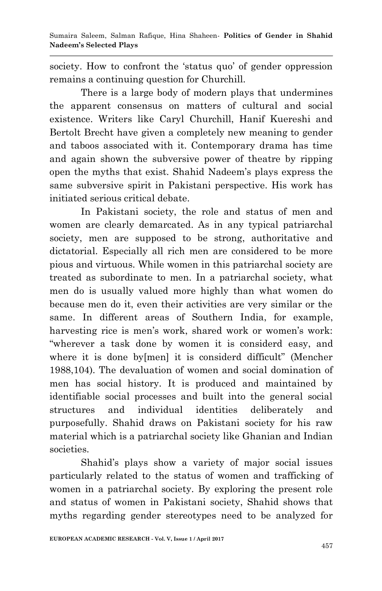society. How to confront the 'status quo' of gender oppression remains a continuing question for Churchill.

There is a large body of modern plays that undermines the apparent consensus on matters of cultural and social existence. Writers like Caryl Churchill, Hanif Kuereshi and Bertolt Brecht have given a completely new meaning to gender and taboos associated with it. Contemporary drama has time and again shown the subversive power of theatre by ripping open the myths that exist. Shahid Nadeem"s plays express the same subversive spirit in Pakistani perspective. His work has initiated serious critical debate.

In Pakistani society, the role and status of men and women are clearly demarcated. As in any typical patriarchal society, men are supposed to be strong, authoritative and dictatorial. Especially all rich men are considered to be more pious and virtuous. While women in this patriarchal society are treated as subordinate to men. In a patriarchal society, what men do is usually valued more highly than what women do because men do it, even their activities are very similar or the same. In different areas of Southern India, for example, harvesting rice is men's work, shared work or women's work: "wherever a task done by women it is considerd easy, and where it is done by [men] it is considerd difficult" (Mencher 1988,104). The devaluation of women and social domination of men has social history. It is produced and maintained by identifiable social processes and built into the general social structures and individual identities deliberately and purposefully. Shahid draws on Pakistani society for his raw material which is a patriarchal society like Ghanian and Indian societies.

Shahid"s plays show a variety of major social issues particularly related to the status of women and trafficking of women in a patriarchal society. By exploring the present role and status of women in Pakistani society, Shahid shows that myths regarding gender stereotypes need to be analyzed for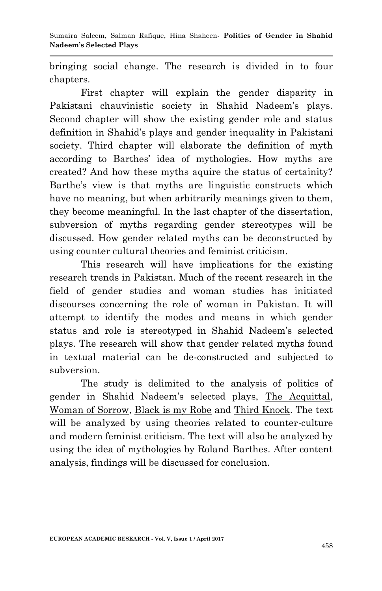Sumaira Saleem, Salman Rafique, Hina Shaheen*-* **Politics of Gender in Shahid Nadeem's Selected Plays**

bringing social change. The research is divided in to four chapters.

First chapter will explain the gender disparity in Pakistani chauvinistic society in Shahid Nadeem's plays. Second chapter will show the existing gender role and status definition in Shahid"s plays and gender inequality in Pakistani society. Third chapter will elaborate the definition of myth according to Barthes" idea of mythologies. How myths are created? And how these myths aquire the status of certainity? Barthe's view is that myths are linguistic constructs which have no meaning, but when arbitrarily meanings given to them, they become meaningful. In the last chapter of the dissertation, subversion of myths regarding gender stereotypes will be discussed. How gender related myths can be deconstructed by using counter cultural theories and feminist criticism.

This research will have implications for the existing research trends in Pakistan. Much of the recent research in the field of gender studies and woman studies has initiated discourses concerning the role of woman in Pakistan. It will attempt to identify the modes and means in which gender status and role is stereotyped in Shahid Nadeem"s selected plays. The research will show that gender related myths found in textual material can be de-constructed and subjected to subversion.

The study is delimited to the analysis of politics of gender in Shahid Nadeem"s selected plays, The Acquittal, Woman of Sorrow, Black is my Robe and Third Knock. The text will be analyzed by using theories related to counter-culture and modern feminist criticism. The text will also be analyzed by using the idea of mythologies by Roland Barthes. After content analysis, findings will be discussed for conclusion.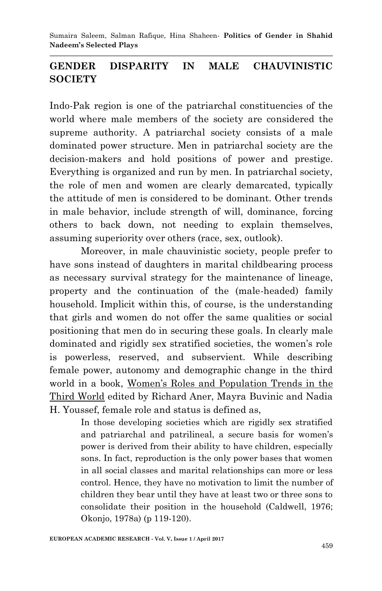Sumaira Saleem, Salman Rafique, Hina Shaheen*-* **Politics of Gender in Shahid Nadeem's Selected Plays**

## **GENDER DISPARITY IN MALE CHAUVINISTIC SOCIETY**

Indo-Pak region is one of the patriarchal constituencies of the world where male members of the society are considered the supreme authority. A patriarchal society consists of a male dominated power structure. Men in patriarchal society are the decision-makers and hold positions of power and prestige. Everything is organized and run by men. In patriarchal society, the role of men and women are clearly demarcated, typically the attitude of men is considered to be dominant. Other trends in male behavior, include strength of will, dominance, forcing others to back down, not needing to explain themselves, assuming superiority over others (race, sex, outlook).

Moreover, in male chauvinistic society, people prefer to have sons instead of daughters in marital childbearing process as necessary survival strategy for the maintenance of lineage, property and the continuation of the (male-headed) family household. Implicit within this, of course, is the understanding that girls and women do not offer the same qualities or social positioning that men do in securing these goals. In clearly male dominated and rigidly sex stratified societies, the women's role is powerless, reserved, and subservient. While describing female power, autonomy and demographic change in the third world in a book, Women's Roles and Population Trends in the Third World edited by Richard Aner, Mayra Buvinic and Nadia H. Youssef, female role and status is defined as,

> In those developing societies which are rigidly sex stratified and patriarchal and patrilineal, a secure basis for women"s power is derived from their ability to have children, especially sons. In fact, reproduction is the only power bases that women in all social classes and marital relationships can more or less control. Hence, they have no motivation to limit the number of children they bear until they have at least two or three sons to consolidate their position in the household (Caldwell, 1976; Okonjo, 1978a) (p 119-120).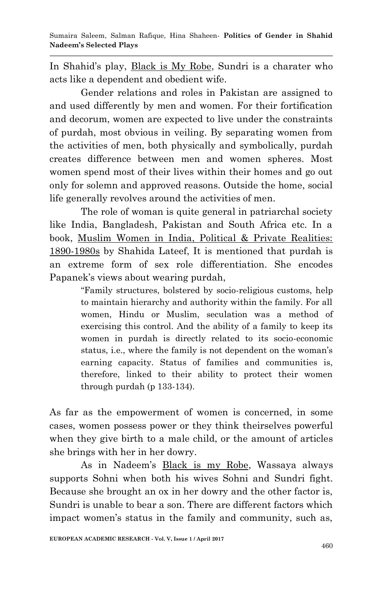In Shahid"s play, Black is My Robe, Sundri is a charater who acts like a dependent and obedient wife.

Gender relations and roles in Pakistan are assigned to and used differently by men and women. For their fortification and decorum, women are expected to live under the constraints of purdah, most obvious in veiling. By separating women from the activities of men, both physically and symbolically, purdah creates difference between men and women spheres. Most women spend most of their lives within their homes and go out only for solemn and approved reasons. Outside the home, social life generally revolves around the activities of men.

The role of woman is quite general in patriarchal society like India, Bangladesh, Pakistan and South Africa etc. In a book, Muslim Women in India, Political & Private Realities: 1890-1980s by Shahida Lateef, It is mentioned that purdah is an extreme form of sex role differentiation. She encodes Papanek's views about wearing purdah,

> "Family structures, bolstered by socio-religious customs, help to maintain hierarchy and authority within the family. For all women, Hindu or Muslim, seculation was a method of exercising this control. And the ability of a family to keep its women in purdah is directly related to its socio-economic status, i.e., where the family is not dependent on the woman's earning capacity. Status of families and communities is, therefore, linked to their ability to protect their women through purdah (p 133-134).

As far as the empowerment of women is concerned, in some cases, women possess power or they think theirselves powerful when they give birth to a male child, or the amount of articles she brings with her in her dowry.

As in Nadeem"s Black is my Robe, Wassaya always supports Sohni when both his wives Sohni and Sundri fight. Because she brought an ox in her dowry and the other factor is, Sundri is unable to bear a son. There are different factors which impact women's status in the family and community, such as,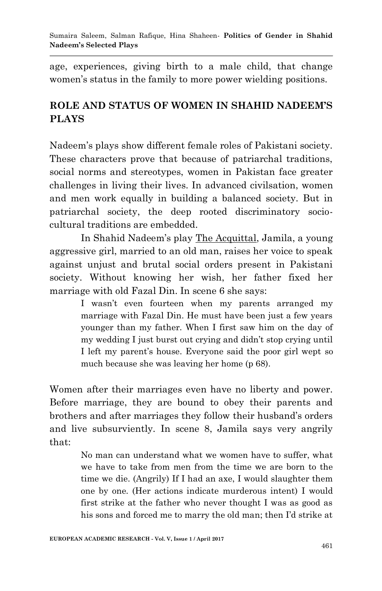age, experiences, giving birth to a male child, that change women's status in the family to more power wielding positions.

## **ROLE AND STATUS OF WOMEN IN SHAHID NADEEM'S PLAYS**

Nadeem"s plays show different female roles of Pakistani society. These characters prove that because of patriarchal traditions, social norms and stereotypes, women in Pakistan face greater challenges in living their lives. In advanced civilsation, women and men work equally in building a balanced society. But in patriarchal society, the deep rooted discriminatory sociocultural traditions are embedded.

In Shahid Nadeem"s play The Acquittal, Jamila, a young aggressive girl, married to an old man, raises her voice to speak against unjust and brutal social orders present in Pakistani society. Without knowing her wish, her father fixed her marriage with old Fazal Din. In scene 6 she says:

> I wasn't even fourteen when my parents arranged my marriage with Fazal Din. He must have been just a few years younger than my father. When I first saw him on the day of my wedding I just burst out crying and didn"t stop crying until I left my parent's house. Everyone said the poor girl wept so much because she was leaving her home (p 68).

Women after their marriages even have no liberty and power. Before marriage, they are bound to obey their parents and brothers and after marriages they follow their husband"s orders and live subsurviently. In scene 8, Jamila says very angrily that:

> No man can understand what we women have to suffer, what we have to take from men from the time we are born to the time we die. (Angrily) If I had an axe, I would slaughter them one by one. (Her actions indicate murderous intent) I would first strike at the father who never thought I was as good as his sons and forced me to marry the old man; then I"d strike at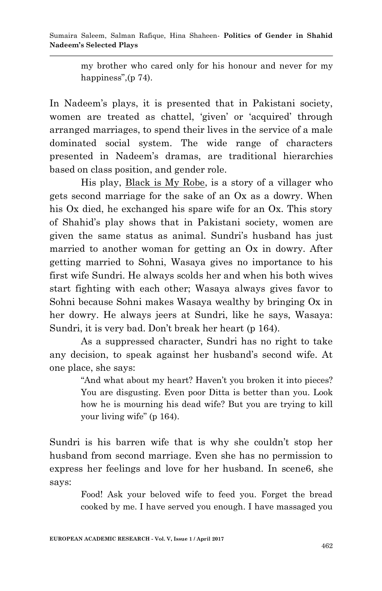my brother who cared only for his honour and never for my happiness", (p 74).

In Nadeem"s plays, it is presented that in Pakistani society, women are treated as chattel, 'given' or 'acquired' through arranged marriages, to spend their lives in the service of a male dominated social system. The wide range of characters presented in Nadeem"s dramas, are traditional hierarchies based on class position, and gender role.

His play, Black is My Robe, is a story of a villager who gets second marriage for the sake of an Ox as a dowry. When his Ox died, he exchanged his spare wife for an Ox. This story of Shahid"s play shows that in Pakistani society, women are given the same status as animal. Sundri"s husband has just married to another woman for getting an Ox in dowry. After getting married to Sohni, Wasaya gives no importance to his first wife Sundri. He always scolds her and when his both wives start fighting with each other; Wasaya always gives favor to Sohni because Sohni makes Wasaya wealthy by bringing Ox in her dowry. He always jeers at Sundri, like he says, Wasaya: Sundri, it is very bad. Don't break her heart (p 164).

As a suppressed character, Sundri has no right to take any decision, to speak against her husband"s second wife. At one place, she says:

> "And what about my heart? Haven't you broken it into pieces? You are disgusting. Even poor Ditta is better than you. Look how he is mourning his dead wife? But you are trying to kill your living wife" (p 164).

Sundri is his barren wife that is why she couldn"t stop her husband from second marriage. Even she has no permission to express her feelings and love for her husband. In scene6, she says:

> Food! Ask your beloved wife to feed you. Forget the bread cooked by me. I have served you enough. I have massaged you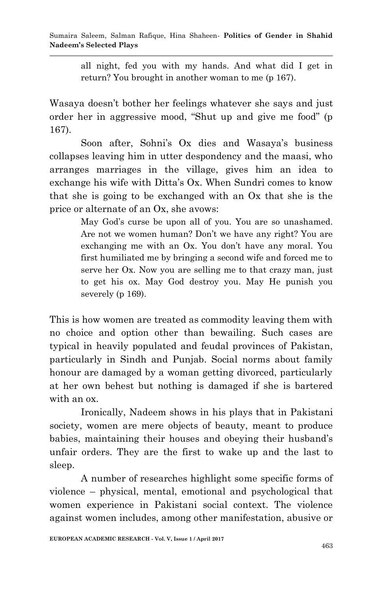all night, fed you with my hands. And what did I get in return? You brought in another woman to me (p 167).

Wasaya doesn"t bother her feelings whatever she says and just order her in aggressive mood, "Shut up and give me food" (p 167).

Soon after, Sohni's Ox dies and Wasaya's business collapses leaving him in utter despondency and the maasi, who arranges marriages in the village, gives him an idea to exchange his wife with Ditta's Ox. When Sundri comes to know that she is going to be exchanged with an Ox that she is the price or alternate of an Ox, she avows:

> May God's curse be upon all of you. You are so unashamed. Are not we women human? Don"t we have any right? You are exchanging me with an Ox. You don't have any moral. You first humiliated me by bringing a second wife and forced me to serve her Ox. Now you are selling me to that crazy man, just to get his ox. May God destroy you. May He punish you severely (p 169).

This is how women are treated as commodity leaving them with no choice and option other than bewailing. Such cases are typical in heavily populated and feudal provinces of Pakistan, particularly in Sindh and Punjab. Social norms about family honour are damaged by a woman getting divorced, particularly at her own behest but nothing is damaged if she is bartered with an ox.

Ironically, Nadeem shows in his plays that in Pakistani society, women are mere objects of beauty, meant to produce babies, maintaining their houses and obeying their husband"s unfair orders. They are the first to wake up and the last to sleep.

A number of researches highlight some specific forms of violence – physical, mental, emotional and psychological that women experience in Pakistani social context. The violence against women includes, among other manifestation, abusive or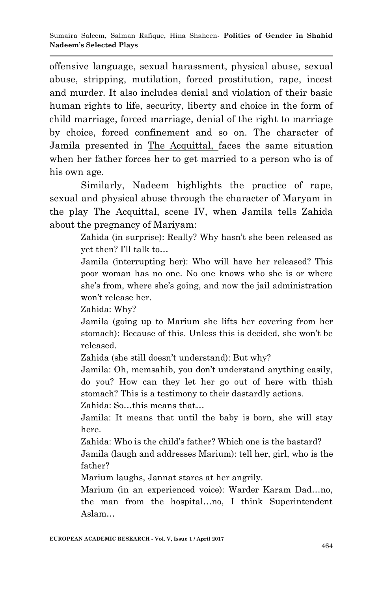offensive language, sexual harassment, physical abuse, sexual abuse, stripping, mutilation, forced prostitution, rape, incest and murder. It also includes denial and violation of their basic human rights to life, security, liberty and choice in the form of child marriage, forced marriage, denial of the right to marriage by choice, forced confinement and so on. The character of Jamila presented in The Acquittal, faces the same situation when her father forces her to get married to a person who is of his own age.

Similarly, Nadeem highlights the practice of rape, sexual and physical abuse through the character of Maryam in the play The Acquittal, scene IV, when Jamila tells Zahida about the pregnancy of Mariyam:

> Zahida (in surprise): Really? Why hasn't she been released as yet then? I"ll talk to…

> Jamila (interrupting her): Who will have her released? This poor woman has no one. No one knows who she is or where she's from, where she's going, and now the jail administration won"t release her.

Zahida: Why?

Jamila (going up to Marium she lifts her covering from her stomach): Because of this. Unless this is decided, she won"t be released.

Zahida (she still doesn't understand): But why?

Jamila: Oh, memsahib, you don"t understand anything easily, do you? How can they let her go out of here with thish stomach? This is a testimony to their dastardly actions.

Zahida: So…this means that…

Jamila: It means that until the baby is born, she will stay here.

Zahida: Who is the child's father? Which one is the bastard?

Jamila (laugh and addresses Marium): tell her, girl, who is the father?

Marium laughs, Jannat stares at her angrily.

Marium (in an experienced voice): Warder Karam Dad…no, the man from the hospital…no, I think Superintendent Aslam…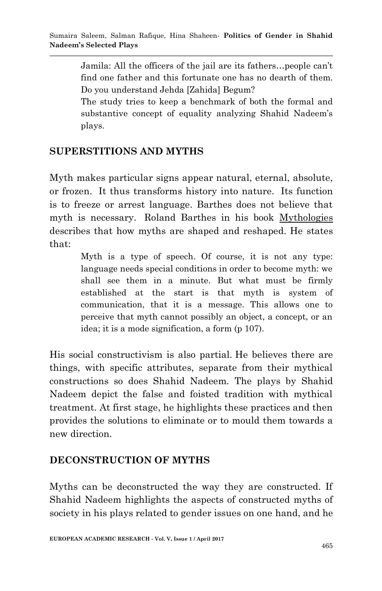Jamila: All the officers of the jail are its fathers…people can"t find one father and this fortunate one has no dearth of them. Do you understand Jehda [Zahida] Begum?

The study tries to keep a benchmark of both the formal and substantive concept of equality analyzing Shahid Nadeem's plays.

## **SUPERSTITIONS AND MYTHS**

Myth makes particular signs appear natural, eternal, absolute, or frozen. It thus transforms history into nature. Its function is to freeze or arrest language. Barthes does not believe that myth is necessary. Roland Barthes in his book Mythologies describes that how myths are shaped and reshaped. He states that:

> Myth is a type of speech. Of course, it is not any type: language needs special conditions in order to become myth: we shall see them in a minute. But what must be firmly established at the start is that myth is system of communication, that it is a message. This allows one to perceive that myth cannot possibly an object, a concept, or an idea; it is a mode signification, a form (p 107).

His social constructivism is also partial. He believes there are things, with specific attributes, separate from their mythical constructions so does Shahid Nadeem. The plays by Shahid Nadeem depict the false and foisted tradition with mythical treatment. At first stage, he highlights these practices and then provides the solutions to eliminate or to mould them towards a new direction.

## **DECONSTRUCTION OF MYTHS**

Myths can be deconstructed the way they are constructed. If Shahid Nadeem highlights the aspects of constructed myths of society in his plays related to gender issues on one hand, and he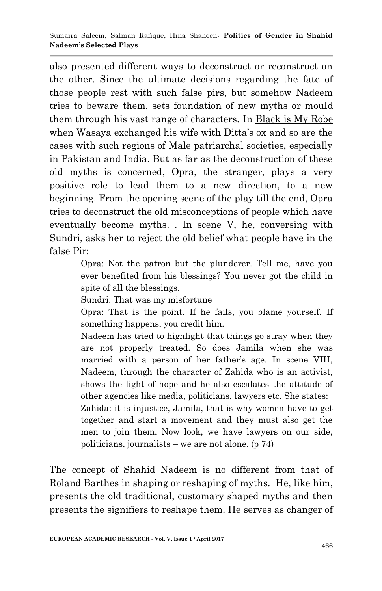also presented different ways to deconstruct or reconstruct on the other. Since the ultimate decisions regarding the fate of those people rest with such false pirs, but somehow Nadeem tries to beware them, sets foundation of new myths or mould them through his vast range of characters. In Black is My Robe when Wasaya exchanged his wife with Ditta's ox and so are the cases with such regions of Male patriarchal societies, especially in Pakistan and India. But as far as the deconstruction of these old myths is concerned, Opra, the stranger, plays a very positive role to lead them to a new direction, to a new beginning. From the opening scene of the play till the end, Opra tries to deconstruct the old misconceptions of people which have eventually become myths. . In scene V, he, conversing with Sundri, asks her to reject the old belief what people have in the false Pir:

> Opra: Not the patron but the plunderer. Tell me, have you ever benefited from his blessings? You never got the child in spite of all the blessings.

Sundri: That was my misfortune

Opra: That is the point. If he fails, you blame yourself. If something happens, you credit him.

Nadeem has tried to highlight that things go stray when they are not properly treated. So does Jamila when she was married with a person of her father's age. In scene VIII, Nadeem, through the character of Zahida who is an activist, shows the light of hope and he also escalates the attitude of other agencies like media, politicians, lawyers etc. She states: Zahida: it is injustice, Jamila, that is why women have to get

together and start a movement and they must also get the men to join them. Now look, we have lawyers on our side, politicians, journalists – we are not alone.  $(p 74)$ 

The concept of Shahid Nadeem is no different from that of Roland Barthes in shaping or reshaping of myths. He, like him, presents the old traditional, customary shaped myths and then presents the signifiers to reshape them. He serves as changer of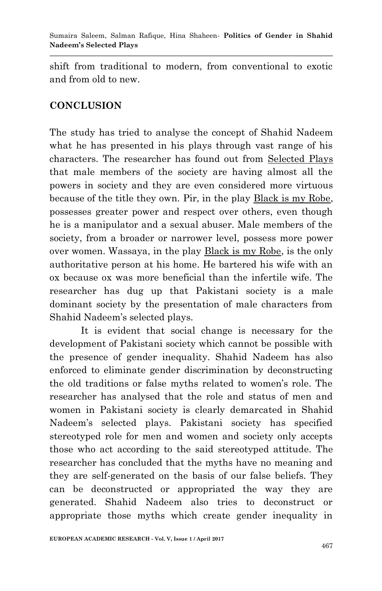shift from traditional to modern, from conventional to exotic and from old to new.

## **CONCLUSION**

The study has tried to analyse the concept of Shahid Nadeem what he has presented in his plays through vast range of his characters. The researcher has found out from Selected Plays that male members of the society are having almost all the powers in society and they are even considered more virtuous because of the title they own. Pir, in the play Black is my Robe, possesses greater power and respect over others, even though he is a manipulator and a sexual abuser. Male members of the society, from a broader or narrower level, possess more power over women. Wassaya, in the play Black is my Robe, is the only authoritative person at his home. He bartered his wife with an ox because ox was more beneficial than the infertile wife. The researcher has dug up that Pakistani society is a male dominant society by the presentation of male characters from Shahid Nadeem"s selected plays.

It is evident that social change is necessary for the development of Pakistani society which cannot be possible with the presence of gender inequality. Shahid Nadeem has also enforced to eliminate gender discrimination by deconstructing the old traditions or false myths related to women"s role. The researcher has analysed that the role and status of men and women in Pakistani society is clearly demarcated in Shahid Nadeem"s selected plays. Pakistani society has specified stereotyped role for men and women and society only accepts those who act according to the said stereotyped attitude. The researcher has concluded that the myths have no meaning and they are self-generated on the basis of our false beliefs. They can be deconstructed or appropriated the way they are generated. Shahid Nadeem also tries to deconstruct or appropriate those myths which create gender inequality in